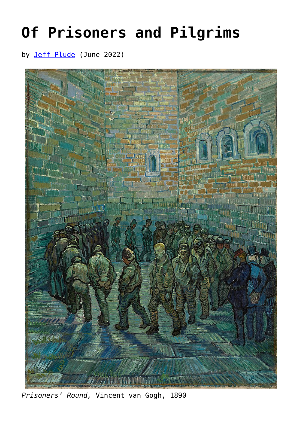## **[Of Prisoners and Pilgrims](https://www.newenglishreview.org/articles/of-prisoners-and-pilgrims/)**

by [Jeff Plude](https://www.newenglishreview.org/authors/jeff-plude/) (June 2022)



*Prisoners' Round,* Vincent van Gogh, 1890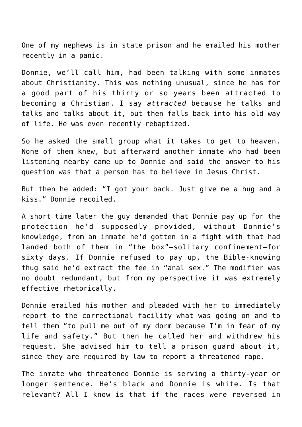One of my nephews is in state prison and he emailed his mother recently in a panic.

Donnie, we'll call him, had been talking with some inmates about Christianity. This was nothing unusual, since he has for a good part of his thirty or so years been attracted to becoming a Christian. I say *attracted* because he talks and talks and talks about it, but then falls back into his old way of life. He was even recently rebaptized.

So he asked the small group what it takes to get to heaven. None of them knew, but afterward another inmate who had been listening nearby came up to Donnie and said the answer to his question was that a person has to believe in Jesus Christ.

But then he added: "I got your back. Just give me a hug and a kiss." Donnie recoiled.

A short time later the guy demanded that Donnie pay up for the protection he'd supposedly provided, without Donnie's knowledge, from an inmate he'd gotten in a fight with that had landed both of them in "the box"—solitary confinement—for sixty days. If Donnie refused to pay up, the Bible-knowing thug said he'd extract the fee in "anal sex." The modifier was no doubt redundant, but from my perspective it was extremely effective rhetorically.

Donnie emailed his mother and pleaded with her to immediately report to the correctional facility what was going on and to tell them "to pull me out of my dorm because I'm in fear of my life and safety." But then he called her and withdrew his request. She advised him to tell a prison guard about it, since they are required by law to report a threatened rape.

The inmate who threatened Donnie is serving a thirty-year or longer sentence. He's black and Donnie is white. Is that relevant? All I know is that if the races were reversed in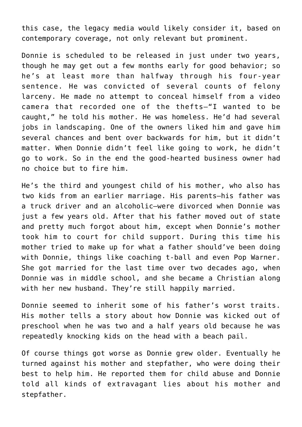this case, the legacy media would likely consider it, based on contemporary coverage, not only relevant but prominent.

Donnie is scheduled to be released in just under two years, though he may get out a few months early for good behavior; so he's at least more than halfway through his four-year sentence. He was convicted of several counts of felony larceny. He made no attempt to conceal himself from a video camera that recorded one of the thefts—"I wanted to be caught," he told his mother. He was homeless. He'd had several jobs in landscaping. One of the owners liked him and gave him several chances and bent over backwards for him, but it didn't matter. When Donnie didn't feel like going to work, he didn't go to work. So in the end the good-hearted business owner had no choice but to fire him.

He's the third and youngest child of his mother, who also has two kids from an earlier marriage. His parents—his father was a truck driver and an alcoholic—were divorced when Donnie was just a few years old. After that his father moved out of state and pretty much forgot about him, except when Donnie's mother took him to court for child support. During this time his mother tried to make up for what a father should've been doing with Donnie, things like coaching t-ball and even Pop Warner. She got married for the last time over two decades ago, when Donnie was in middle school, and she became a Christian along with her new husband. They're still happily married.

Donnie seemed to inherit some of his father's worst traits. His mother tells a story about how Donnie was kicked out of preschool when he was two and a half years old because he was repeatedly knocking kids on the head with a beach pail.

Of course things got worse as Donnie grew older. Eventually he turned against his mother and stepfather, who were doing their best to help him. He reported them for child abuse and Donnie told all kinds of extravagant lies about his mother and stepfather.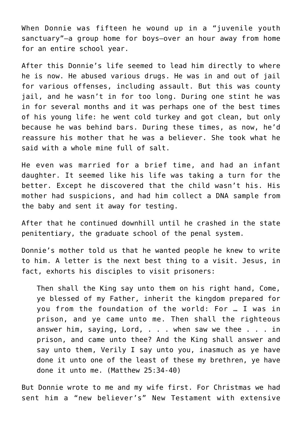When Donnie was fifteen he wound up in a "juvenile youth sanctuary"—a group home for boys—over an hour away from home for an entire school year.

After this Donnie's life seemed to lead him directly to where he is now. He abused various drugs. He was in and out of jail for various offenses, including assault. But this was county jail, and he wasn't in for too long. During one stint he was in for several months and it was perhaps one of the best times of his young life: he went cold turkey and got clean, but only because he was behind bars. During these times, as now, he'd reassure his mother that he was a believer. She took what he said with a whole mine full of salt.

He even was married for a brief time, and had an infant daughter. It seemed like his life was taking a turn for the better. Except he discovered that the child wasn't his. His mother had suspicions, and had him collect a DNA sample from the baby and sent it away for testing.

After that he continued downhill until he crashed in the state penitentiary, the graduate school of the penal system.

Donnie's mother told us that he wanted people he knew to write to him. A letter is the next best thing to a visit. Jesus, in fact, exhorts his disciples to visit prisoners:

Then shall the King say unto them on his right hand, Come, ye blessed of my Father, inherit the kingdom prepared for you from the foundation of the world: For … I was in prison, and ye came unto me. Then shall the righteous answer him, saying, Lord, . . . when saw we thee . . . in prison, and came unto thee? And the King shall answer and say unto them, Verily I say unto you, inasmuch as ye have done it unto one of the least of these my brethren, ye have done it unto me. (Matthew 25:34-40)

But Donnie wrote to me and my wife first. For Christmas we had sent him a "new believer's" New Testament with extensive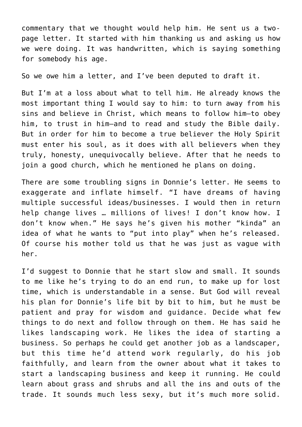commentary that we thought would help him. He sent us a twopage letter. It started with him thanking us and asking us how we were doing. It was handwritten, which is saying something for somebody his age.

So we owe him a letter, and I've been deputed to draft it.

But I'm at a loss about what to tell him. He already knows the most important thing I would say to him: to turn away from his sins and believe in Christ, which means to follow him—to obey him, to trust in him—and to read and study the Bible daily. But in order for him to become a true believer the Holy Spirit must enter his soul, as it does with all believers when they truly, honesty, unequivocally believe. After that he needs to join a good church, which he mentioned he plans on doing.

There are some troubling signs in Donnie's letter. He seems to exaggerate and inflate himself. "I have dreams of having multiple successful ideas/businesses. I would then in return help change lives … millions of lives! I don't know how. I don't know when." He says he's given his mother "kinda" an idea of what he wants to "put into play" when he's released. Of course his mother told us that he was just as vague with her.

I'd suggest to Donnie that he start slow and small. It sounds to me like he's trying to do an end run, to make up for lost time, which is understandable in a sense. But God will reveal his plan for Donnie's life bit by bit to him, but he must be patient and pray for wisdom and guidance. Decide what few things to do next and follow through on them. He has said he likes landscaping work. He likes the idea of starting a business. So perhaps he could get another job as a landscaper, but this time he'd attend work regularly, do his job faithfully, and learn from the owner about what it takes to start a landscaping business and keep it running. He could learn about grass and shrubs and all the ins and outs of the trade. It sounds much less sexy, but it's much more solid.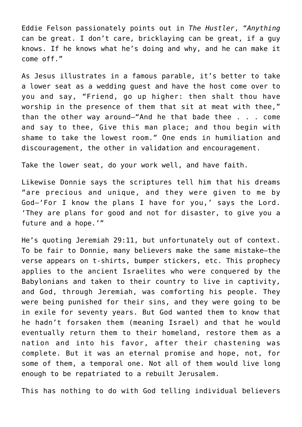Eddie Felson passionately points out in *The Hustler*, "*Anything* can be great. I don't care, bricklaying can be great, if a guy knows. If he knows what he's doing and why, and he can make it come off."

As Jesus illustrates in a famous parable, it's better to take a lower seat as a wedding guest and have the host come over to you and say, "Friend, go up higher: then shalt thou have worship in the presence of them that sit at meat with thee," than the other way around—"And he that bade thee . . . come and say to thee, Give this man place; and thou begin with shame to take the lowest room." One ends in humiliation and discouragement, the other in validation and encouragement.

Take the lower seat, do your work well, and have faith.

Likewise Donnie says the scriptures tell him that his dreams "are precious and unique, and they were given to me by God—'For I know the plans I have for you,' says the Lord. 'They are plans for good and not for disaster, to give you a future and a hope.'"

He's quoting Jeremiah 29:11, but unfortunately out of context. To be fair to Donnie, many believers make the same mistake—the verse appears on t-shirts, bumper stickers, etc. This prophecy applies to the ancient Israelites who were conquered by the Babylonians and taken to their country to live in captivity, and God, through Jeremiah, was comforting his people. They were being punished for their sins, and they were going to be in exile for seventy years. But God wanted them to know that he hadn't forsaken them (meaning Israel) and that he would eventually return them to their homeland, restore them as a nation and into his favor, after their chastening was complete. But it was an eternal promise and hope, not, for some of them, a temporal one. Not all of them would live long enough to be repatriated to a rebuilt Jerusalem.

This has nothing to do with God telling individual believers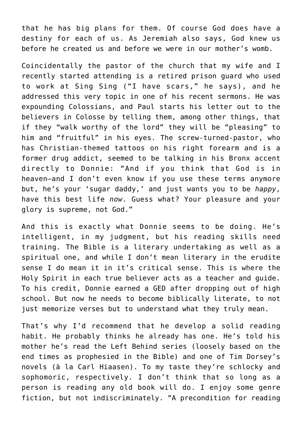that he has big plans for them. Of course God does have a destiny for each of us. As Jeremiah also says, God knew us before he created us and before we were in our mother's womb.

Coincidentally the pastor of the church that my wife and I recently started attending is a retired prison guard who used to work at Sing Sing ("I have scars," he says), and he addressed this very topic in one of his recent sermons. He was expounding Colossians, and Paul starts his letter out to the believers in Colosse by telling them, among other things, that if they "walk worthy of the lord" they will be "pleasing" to him and "fruitful" in his eyes. The screw-turned-pastor, who has Christian-themed tattoos on his right forearm and is a former drug addict, seemed to be talking in his Bronx accent directly to Donnie: "And if you think that God is in heaven—and I don't even know if you use these terms anymore but, he's your 'sugar daddy,' and just wants you to be *happy*, have this best life *now*. Guess what? Your pleasure and your glory is supreme, not God."

And this is exactly what Donnie seems to be doing. He's intelligent, in my judgment, but his reading skills need training. The Bible is a literary undertaking as well as a spiritual one, and while I don't mean literary in the erudite sense I do mean it in it's critical sense. This is where the Holy Spirit in each true believer acts as a teacher and guide. To his credit, Donnie earned a GED after dropping out of high school. But now he needs to become biblically literate, to not just memorize verses but to understand what they truly mean.

That's why I'd recommend that he develop a solid reading habit. He probably thinks he already has one. He's told his mother he's read the Left Behind series (loosely based on the end times as prophesied in the Bible) and one of Tim Dorsey's novels (à la Carl Hiaasen). To my taste they're schlocky and sophomoric, respectively. I don't think that so long as a person is reading any old book will do. I enjoy some genre fiction, but not indiscriminately. "A precondition for reading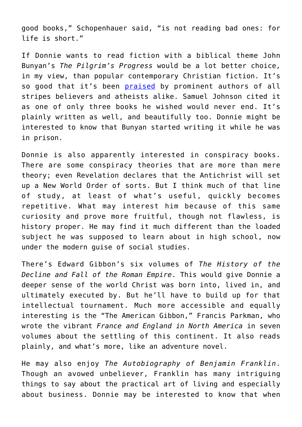good books," Schopenhauer said, "is not reading bad ones: for life is short."

If Donnie wants to read fiction with a biblical theme John Bunyan's *The Pilgrim's Progress* would be a lot better choice, in my view, than popular contemporary Christian fiction. It's so good that it's been [praised](https://www.theguardian.com/books/2013/sep/23/100-best-novels-pilgrims-progress) by prominent authors of all stripes believers and atheists alike. Samuel Johnson cited it as one of only three books he wished would never end. It's plainly written as well, and beautifully too. Donnie might be interested to know that Bunyan started writing it while he was in prison.

Donnie is also apparently interested in conspiracy books. There are some conspiracy theories that are more than mere theory; even Revelation declares that the Antichrist will set up a New World Order of sorts. But I think much of that line of study, at least of what's useful, quickly becomes repetitive. What may interest him because of this same curiosity and prove more fruitful, though not flawless, is history proper. He may find it much different than the loaded subject he was supposed to learn about in high school, now under the modern guise of social studies.

There's Edward Gibbon's six volumes of *The History of the Decline and Fall of the Roman Empire*. This would give Donnie a deeper sense of the world Christ was born into, lived in, and ultimately executed by. But he'll have to build up for that intellectual tournament. Much more accessible and equally interesting is the "The American Gibbon," Francis Parkman, who wrote the vibrant *France and England in North America* in seven volumes about the settling of this continent. It also reads plainly, and what's more, like an adventure novel.

He may also enjoy *The Autobiography of Benjamin Franklin*. Though an avowed unbeliever, Franklin has many intriguing things to say about the practical art of living and especially about business. Donnie may be interested to know that when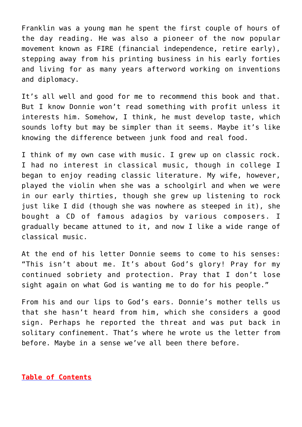Franklin was a young man he spent the first couple of hours of the day reading. He was also a pioneer of the now popular movement known as FIRE (financial independence, retire early), stepping away from his printing business in his early forties and living for as many years afterword working on inventions and diplomacy.

It's all well and good for me to recommend this book and that. But I know Donnie won't read something with profit unless it interests him. Somehow, I think, he must develop taste, which sounds lofty but may be simpler than it seems. Maybe it's like knowing the difference between junk food and real food.

I think of my own case with music. I grew up on classic rock. I had no interest in classical music, though in college I began to enjoy reading classic literature. My wife, however, played the violin when she was a schoolgirl and when we were in our early thirties, though she grew up listening to rock just like I did (though she was nowhere as steeped in it), she bought a CD of famous adagios by various composers. I gradually became attuned to it, and now I like a wide range of classical music.

At the end of his letter Donnie seems to come to his senses: "This isn't about me. It's about God's glory! Pray for my continued sobriety and protection. Pray that I don't lose sight again on what God is wanting me to do for his people."

From his and our lips to God's ears. Donnie's mother tells us that she hasn't heard from him, which she considers a good sign. Perhaps he reported the threat and was put back in solitary confinement. That's where he wrote us the letter from before. Maybe in a sense we've all been there before.

## **[Table of Contents](https://www.newenglishreview.org/)**